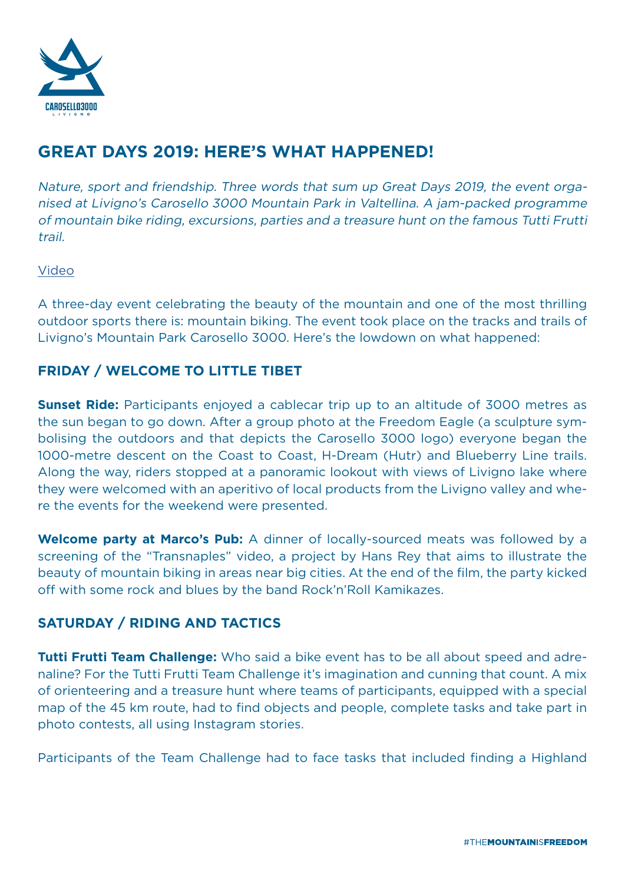

# **GREAT DAYS 2019: HERE'S WHAT HAPPENED!**

Nature, sport and friendship. Three words that sum up Great Days 2019, the event organised at Livigno's Carosello 3000 Mountain Park in Valtellina. A jam-packed programme of mountain bike riding, excursions, parties and a treasure hunt on the famous Tutti Frutti trail.

#### [Video](https://youtu.be/11suqo-UXH4)

A three-day event celebrating the beauty of the mountain and one of the most thrilling outdoor sports there is: mountain biking. The event took place on the tracks and trails of Livigno's Mountain Park Carosello 3000. Here's the lowdown on what happened:

### **FRIDAY / WELCOME TO LITTLE TIBET**

**Sunset Ride:** Participants enjoyed a cablecar trip up to an altitude of 3000 metres as the sun began to go down. After a group photo at the Freedom Eagle (a sculpture symbolising the outdoors and that depicts the Carosello 3000 logo) everyone began the 1000-metre descent on the Coast to Coast, H-Dream (Hutr) and Blueberry Line trails. Along the way, riders stopped at a panoramic lookout with views of Livigno lake where they were welcomed with an aperitivo of local products from the Livigno valley and where the events for the weekend were presented.

**Welcome party at Marco's Pub:** A dinner of locally-sourced meats was followed by a screening of the "Transnaples" video, a project by Hans Rey that aims to illustrate the beauty of mountain biking in areas near big cities. At the end of the film, the party kicked off with some rock and blues by the band Rock'n'Roll Kamikazes.

## **SATURDAY / RIDING AND TACTICS**

**Tutti Frutti Team Challenge:** Who said a bike event has to be all about speed and adrenaline? For the Tutti Frutti Team Challenge it's imagination and cunning that count. A mix of orienteering and a treasure hunt where teams of participants, equipped with a special map of the 45 km route, had to find objects and people, complete tasks and take part in photo contests, all using Instagram stories.

Participants of the Team Challenge had to face tasks that included finding a Highland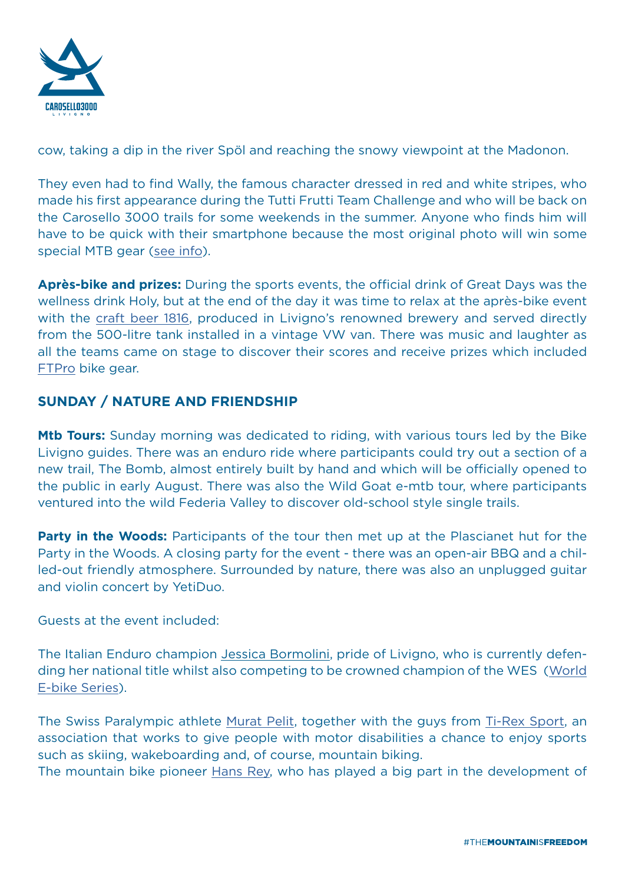

cow, taking a dip in the river Spöl and reaching the snowy viewpoint at the Madonon.

They even had to find Wally, the famous character dressed in red and white stripes, who made his first appearance during the Tutti Frutti Team Challenge and who will be back on the Carosello 3000 trails for some weekends in the summer. Anyone who finds him will have to be quick with their smartphone because the most original photo will win some special MTB gear ([see info\)](https://www.carosello3000.com/en/summer/mountain-info/events/where-is-wally).

**Après-bike and prizes:** During the sports events, the official drink of Great Days was the wellness drink Holy, but at the end of the day it was time to relax at the après-bike event with the [craft beer 1816](http://www.1816.it/), produced in Livigno's renowned brewery and served directly from the 500-litre tank installed in a vintage VW van. There was music and laughter as all the teams came on stage to discover their scores and receive prizes which included [FTPro](https://www.ftpro.it/copia-di-italiano) bike gear.

### **SUNDAY / NATURE AND FRIENDSHIP**

**Mtb Tours:** Sunday morning was dedicated to riding, with various tours led by the Bike Livigno guides. There was an enduro ride where participants could try out a section of a new trail, The Bomb, almost entirely built by hand and which will be officially opened to the public in early August. There was also the Wild Goat e-mtb tour, where participants ventured into the wild Federia Valley to discover old-school style single trails.

**Party in the Woods:** Participants of the tour then met up at the Plascianet hut for the Party in the Woods. A closing party for the event - there was an open-air BBQ and a chilled-out friendly atmosphere. Surrounded by nature, there was also an unplugged guitar and violin concert by YetiDuo.

Guests at the event included:

The Italian Enduro champion Jessica Bormolini, pride of Livigno, who is currently defending her national title whilst also competing to be crowned champion of the WES [\(World](https://www.worldebikeseries.com/) [E-bike Series\)](https://www.worldebikeseries.com/).

The Swiss Paralympic athlete [Murat Pelit](http://www.muratpelit.ch/), together with the guys from [Ti-Rex Sport,](https://www.tirex.ch/) an association that works to give people with motor disabilities a chance to enjoy sports such as skiing, wakeboarding and, of course, mountain biking.

The mountain bike pioneer [Hans Rey,](https://hansrey.com/) who has played a big part in the development of